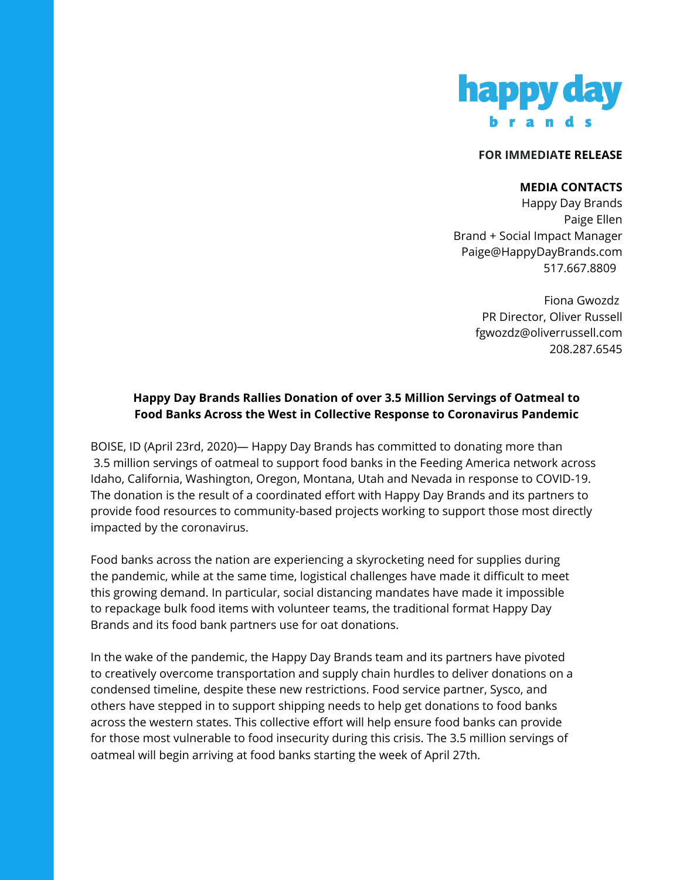

## **FOR IMMEDIATE RELEASE**

## **MEDIA CONTACTS**

Happy Day Brands Paige Ellen Brand + Social Impact Manager Paige@HappyDayBrands.com 517.667.8809

> Fiona Gwozdz PR Director, Oliver Russell fgwozdz@oliverrussell.com 208.287.6545

## **Happy Day Brands Rallies Donation of over 3.5 Million Servings of Oatmeal to Food Banks Across the West in Collective Response to Coronavirus Pandemic**

BOISE, ID (April 23rd, 2020)— Happy Day Brands has committed to donating more than 3.5 million servings of oatmeal to support food banks in the Feeding America network across Idaho, California, Washington, Oregon, Montana, Utah and Nevada in response to COVID-19. The donation is the result of a coordinated effort with Happy Day Brands and its partners to provide food resources to community-based projects working to support those most directly impacted by the coronavirus.

Food banks across the nation are experiencing a skyrocketing need for supplies during the pandemic, while at the same time, logistical challenges have made it difficult to meet this growing demand. In particular, social distancing mandates have made it impossible to repackage bulk food items with volunteer teams, the traditional format Happy Day Brands and its food bank partners use for oat donations.

In the wake of the pandemic, the Happy Day Brands team and its partners have pivoted to creatively overcome transportation and supply chain hurdles to deliver donations on a condensed timeline, despite these new restrictions. Food service partner, Sysco, and others have stepped in to support shipping needs to help get donations to food banks across the western states. This collective effort will help ensure food banks can provide for those most vulnerable to food insecurity during this crisis. The 3.5 million servings of oatmeal will begin arriving at food banks starting the week of April 27th.